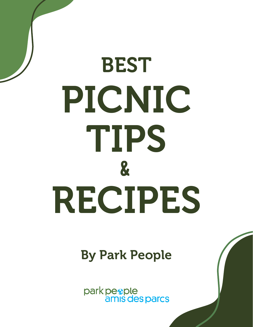# TIPS BEST PICNIC & RECIPES

### By Park People

park people<br>amis des parcs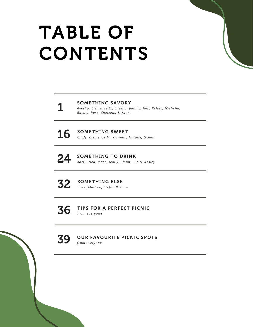# TABLE OF CONTENTS

#### SOMETHING SAVORY

*Ayesha, Clémence C., Eliesha, Jeanny, Jodi, Kelsey, Michelle, Rachel, Rose, Sheleena & Yann*



1

16 SOMETHING SWEET *Cindy, Clémence M., Hannah, Natalie, & Sean*

### 24 SOMETHING TO DRINK

*Adri, Erika, Mash, Molly, Steph, Sue & Wesley*



**32** SOMETHING ELSE *Dave, Mathew, Stefan & Yann*

36 **TIPS FOR A PERFECT PICNIC** *from everyone*



#### **OUR FAVOURITE PICNIC SPOTS** *from everyone*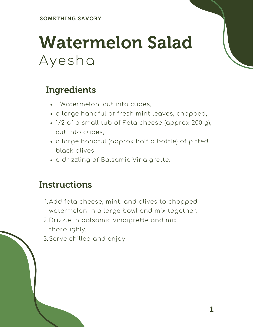### Watermelon Salad Ayesha

#### Ingredients

- 1 Watermelon, cut into cubes,
- a large handful of fresh mint leaves, chopped,
- 1/2 of a small tub of Feta cheese (approx 200 g), cut into cubes,
- a large handful (approx half a bottle) of pitted black olives,
- a drizzling of Balsamic Vinaigrette.

- 1.Add feta cheese, mint, and olives to chopped watermelon in a large bowl and mix together.
- 2.Drizzle in balsamic vinaigrette and mix thoroughly.
- Serve chilled and enjoy! 3.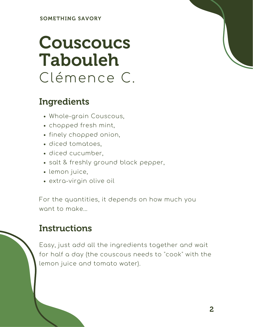### Couscoucs Tabouleh Clémence C.

#### Ingredients

- Whole-grain Couscous,
- chopped fresh mint,
- finely chopped onion,
- diced tomatoes,
- diced cucumber,
- salt & freshly ground black pepper,
- lemon juice,
- extra-virgin olive oil

For the quantities, it depends on how much you want to make...

#### **Instructions**

Easy, just add all the ingredients together and wait for half a day (the couscous needs to "cook" with the lemon juice and tomato water).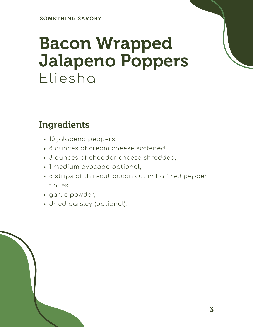### Bacon Wrapped Jalapeno Poppers Eliesha

#### Ingredients

- 10 jalapeño peppers,
- 8 ounces of cream cheese softened,
- 8 ounces of cheddar cheese shredded,
- 1 medium avocado optional,
- 5 strips of thin-cut bacon cut in half red pepper flakes,
- garlic powder,
- dried parsley (optional).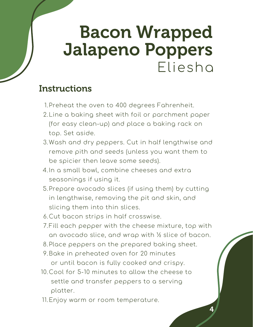### Bacon Wrapped Jalapeno Poppers Eliesha

- 1.Preheat the oven to 400 degrees Fahrenheit.
- 2.Line a baking sheet with foil or parchment paper (for easy clean-up) and place a baking rack on top. Set aside.
- Wash and dry peppers. Cut in half lengthwise and 3. remove pith and seeds (unless you want them to be spicier then leave some seeds).
- 4.In a small bowl, combine cheeses and extra seasonings if using it.
- 5.Prepare avocado slices (if using them) by cutting in lengthwise, removing the pit and skin, and slicing them into thin slices.
- 6.Cut bacon strips in half crosswise.
- Fill each pepper with the cheese mixture, top with 7. an avocado slice, and wrap with ½ slice of bacon.
- 8.Place peppers on the prepared baking sheet.
- 9.Bake in preheated oven for 20 minutes or until bacon is fully cooked and crispy.
- 10.Cool for 5-10 minutes to allow the cheese to settle and transfer peppers to a serving platter.
- 11.Enjoy warm or room temperature.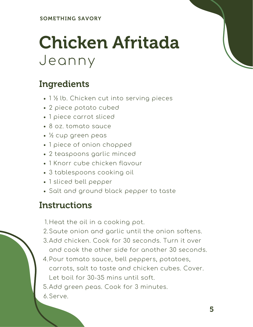### Chicken Afritada Jeanny

#### Ingredients

- 1 ½ lb. Chicken cut into serving pieces
- 2 piece potato cubed
- 1 piece carrot sliced
- 8 oz. tomato sauce
- ½ cup green peas
- 1 piece of onion chopped
- 2 teaspoons garlic minced
- 1 Knorr cube chicken flavour
- 3 tablespoons cooking oil
- 1 sliced bell pepper
- Salt and ground black pepper to taste

#### **Instructions**

1.Heat the oil in a cooking pot.

- 2.Saute onion and garlic until the onion softens.
- Add chicken. Cook for 30 seconds. Turn it over 3. and cook the other side for another 30 seconds.
- Pour tomato sauce, bell peppers, potatoes, 4. carrots, salt to taste and chicken cubes. Cover. Let boil for 30-35 mins until soft.

5.Add green peas. Cook for 3 minutes.

6.Serve.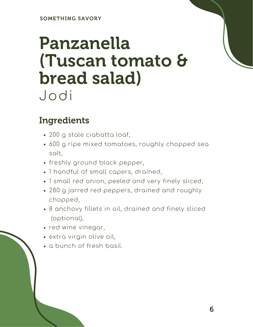### Panzanella (Tuscan tomato & bread salad) Jodi

### Ingredients

- 200 g stale ciabatta loaf,
- 600 g ripe mixed tomatoes, roughly chopped sea salt,
- freshly ground black pepper,
- 1 handful of small capers, drained,
- 1 small red onion, peeled and very finely sliced,
- 280 g jarred red peppers, drained and roughly chopped,
- 8 anchovy fillets in oil, drained and finely sliced (optional),
- red wine vinegar,
- extra virgin olive oil,
- a bunch of fresh basil.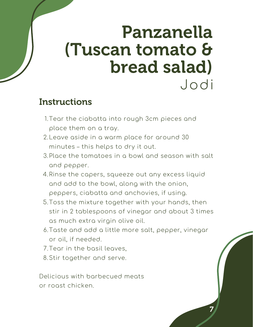### hron Panzanella (Tuscan tomato & bread salad) Jodi

#### **Instructions**

- 1.Tear the ciabatta into rough 3cm pieces and place them on a tray.
- Leave aside in a warm place for around 30 2. minutes – this helps to dry it out.
- 3.Place the tomatoes in a bowl and season with salt and pepper.
- 4.Rinse the capers, squeeze out any excess liquid and add to the bowl, along with the onion, peppers, ciabatta and anchovies, if using.
- 5.Toss the mixture together with your hands, thenstir in 2 tablespoons of vinegar and about 3 times as much extra virgin olive oil.
- Taste and add a little more salt, pepper, vinegar 6. or oil, if needed.

7

- Tear in the basil leaves, 7.
- Stir together and serve. 8.

Delicious with barbecued meats or roast chicken.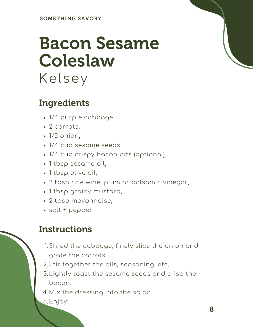### Bacon Sesame Coleslaw Kelsey

#### Ingredients

- 1/4 purple cabbage,
- 2 carrots,
- $\cdot$  1/2 onion.
- 1/4 cup sesame seeds,
- 1/4 cup crispy bacon bits (optional),
- 1 tbsp sesame oil,
- 1 tbsp olive oil,
- 2 tbsp rice wine, plum or balsamic vinegar,
- 1 tbsp grainy mustard,
- 2 tbsp mayonnaise,
- salt + pepper.

- 1.Shred the cabbage, finely slice the onion and grate the carrots.
- 2.Stir together the oils, seasoning, etc.
- 3.Lightly toast the sesame seeds and crisp the bacon.
- Mix the dressing into the salad. 4.
- 5.Enjoy!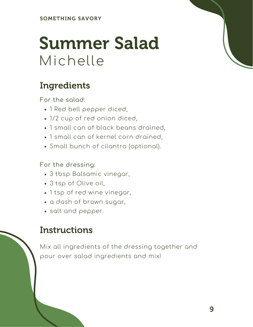### Summer Salad Michelle

### Ingredients

For the salad:

- 1 Red bell pepper diced,
- 1/2 cup of red onion diced,
- 1 small can of black beans drained,
- 1 small can of kernel corn drained,
- Small bunch of cilantro (optional).

For the dressing:

- 3 tbsp Balsamic vinegar,
- 3 tsp of Olive oil,
- 1 tsp of red wine vinegar,
- a dash of brown sugar,
- salt and pepper.

#### **Instructions**

Mix all ingredients of the dressing together and pour over salad ingredients and mix!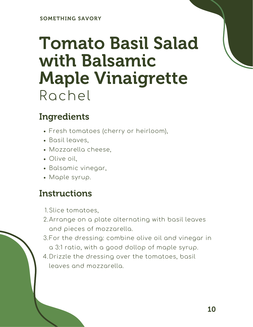### Tomato Basil Salad with Balsamic Maple Vinaigrette Rachel

### Ingredients

- Fresh tomatoes (cherry or heirloom),
- Basil leaves,
- Mozzarella cheese,
- Olive oil,
- Balsamic vinegar,
- Maple syrup.

#### **Instructions**

1. Slice tomatoes,

- Arrange on a plate alternating with basil leaves 2. and pieces of mozzarella.
- 3.For the dressing: combine olive oil and vinegar in a 3:1 ratio, with a good dollop of maple syrup.
- Drizzle the dressing over the tomatoes, basil 4.leaves and mozzarella.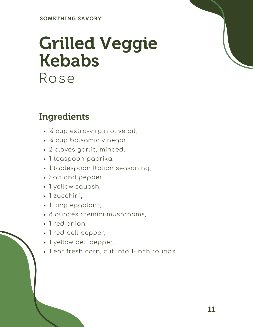### Grilled Veggie Kebabs Rose

#### Ingredients

- ¼ cup extra-virgin olive oil,
- ¼ cup balsamic vinegar,
- 2 cloves garlic, minced,
- 1 teaspoon paprika,
- 1 tablespoon Italian seasoning,
- Salt and pepper,
- 1 yellow squash,
- 1 zucchini,
- 1 long eggplant,
- 8 ounces cremini mushrooms,
- 1 red onion,
- 1 red bell pepper,
- 1 yellow bell pepper,
- 1 ear fresh corn, cut into 1-inch rounds.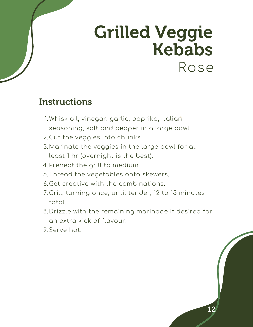### Grilled Veggie Kebabs Rose

- 1.Whisk oil, vinegar, garlic, paprika, Italian seasoning, salt and pepper in a large bowl.
- 2.Cut the veggies into chunks.
- Marinate the veggies in the large bowl for at 3. least 1 hr (overnight is the best).
- 4.Preheat the grill to medium.
- 5.Thread the vegetables onto skewers.
- Get creative with the combinations. 6.
- 7.Grill, turning once, until tender, 12 to 15 minutes total.
- Drizzle with the remaining marinade if desired for 8. an extra kick of flavour.
- 9.Serve hot.

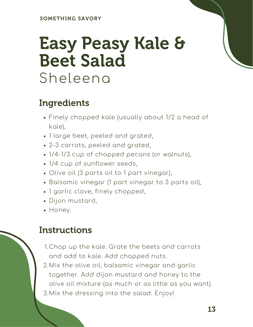### Easy Peasy Kale & Beet Salad Sheleena

#### Ingredients

- Finely chopped kale (usually about 1/2 a head of kale),
- 1 large beet, peeled and grated,
- 2-3 carrots, peeled and grated,
- 1/4-1/3 cup of chopped pecans (or walnuts),
- 1/4 cup of sunflower seeds,
- Olive oil (3 parts oil to 1 part vinegar),
- Balsamic vinegar (1 part vinegar to 3 parts oil),
- 1 garlic clove, finely chopped,
- Dijon mustard,
- Honey.

#### **Instructions**

Chop up the kale. Grate the beets and carrots 1. and add to kale. Add chopped nuts.

Mix the olive oil, balsamic vinegar and garlic 2. together. Add dijon mustard and honey to the olive oil mixture (as much or as little as you want). Mix the dressing into the salad. Enjoy! 3.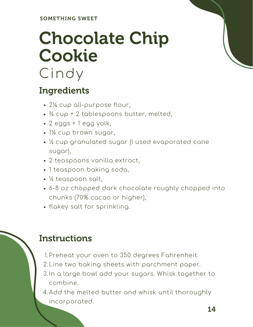# Chocolate Chip Cookie

### Cindy

### Ingredients

- 2¼ cup all-purpose flour,
- ¾ cup + 2 tablespoons butter, melted,
- 2 eggs + 1 egg yolk,
- 1¼ cup brown sugar,
- ½ cup granulated sugar (I used evaporated cane sugar),
- 2 teaspoons vanilla extract,
- 1 teaspoon baking soda,
- ½ teaspoon salt,
- 6-8 oz chopped dark chocolate roughly chopped into chunks (70% cacao or higher),
- flakey salt for sprinkling.

- 1.Preheat your oven to 350 degrees Fahrenheit.
- 2.Line two baking sheets with parchment paper.
- 3.In a large bowl add your sugars. Whisk together to combine.
- Add the melted butter and whisk until thoroughly 4.incorporated.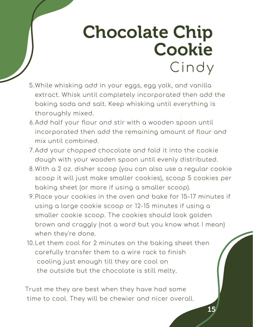### Chocolate Chip Line two baking sheets with parchment paper. Add the melted butter and whisk until thoroughly CindyCookie

While whisking add in your eggs, egg yolk, and vanilla 5. extract. Whisk until completely incorporated then add the baking soda and salt. Keep whisking until everything is thoroughly mixed.

Instructions

1.

2.

3.

- Add half your flour and stir with a wooden spoon until 6. incorporated then add the remaining amount of flour and mix until combined.
- Add your chopped chocolate and fold it into the cookie 7. dough with your wooden spoon until evenly distributed.
- With a 2 oz. disher scoop (you can also use a regular cookie 8. scoop it will just make smaller cookies), scoop 5 cookies per baking sheet (or more if using a smaller scoop).
- Place your cookies in the oven and bake for 15-17 minutes if 9. using a large cookie scoop or 12-15 minutes if using a smaller cookie scoop. The cookies should look golden brown and craggly (not a word but you know what I mean) when they're done.
- 10.Let them cool for 2 minutes on the baking sheet then carefully transfer them to a wire rack to finish cooling just enough till they are cool on the outside but the chocolate is still melty.

Trust me they are best when they have had some time to cool. They will be chewier and nicer overall.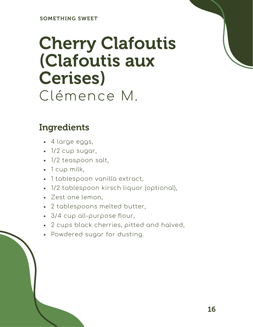### Cherry Clafoutis (Clafoutis aux Cerises) Clémence M.

#### Ingredients

- 4 large eggs,
- $\cdot$  1/2 cup sugar,
- 1/2 teaspoon salt,
- 1 cup milk,
- 1 tablespoon vanilla extract,
- 1/2 tablespoon kirsch liquor (optional),
- Zest one lemon,
- 2 tablespoons melted butter,
- 3/4 cup all-purpose flour,
- 2 cups black cherries, pitted and halved,
- Powdered sugar for dusting.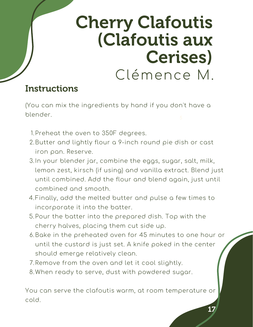### Recipe Cherry Clafoutis (Clafoutis aux Cerises) Clémence M.

### **Instructions**

(You can mix the ingredients by hand if you don't have a blender.

- 1.Preheat the oven to 350F degrees.
- 2.Butter and lightly flour a 9-inch round pie dish or cast iron pan. Reserve.
- 3.In your blender jar, combine the eggs, sugar, salt, milk, lemon zest, kirsch (if using) and vanilla extract. Blend just until combined. Add the flour and blend again, just until combined and smooth.
- Finally, add the melted butter and pulse a few times to 4. incorporate it into the batter.
- 5.Pour the batter into the prepared dish. Top with the cherry halves, placing them cut side up.
- 6.Bake in the preheated oven for 45 minutes to one hour or until the custard is just set. A knife poked in the center should emerge relatively clean.
- 7.Remove from the oven and let it cool slightly.
- When ready to serve, dust with powdered sugar. 8.

You can serve the clafoutis warm, at room temperature or cold.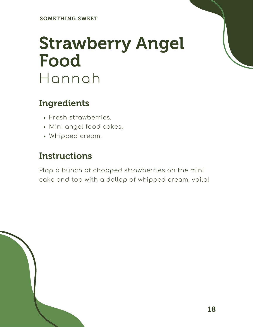### Strawberry Angel Food Hannah

#### Ingredients

- Fresh strawberries,
- Mini angel food cakes,
- Whipped cream.

#### **Instructions**

Plop a bunch of chopped strawberries on the mini cake and top with a dollop of whipped cream, voila!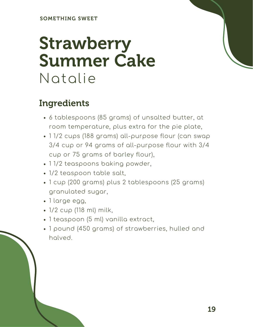### Strawberry Summer Cake Natalie

### Ingredients

- 6 tablespoons (85 grams) of unsalted butter, at room temperature, plus extra for the pie plate,
- 1 1/2 cups (188 grams) all-purpose flour (can swap 3/4 cup or 94 grams of all-purpose flour with 3/4 cup or 75 grams of barley flour),
- 11/2 teaspoons baking powder,
- 1/2 teaspoon table salt,
- 1 cup (200 grams) plus 2 tablespoons (25 grams) granulated sugar,
- 1 large egg,
- 1/2 cup (118 ml) milk,
- 1 teaspoon (5 ml) vanilla extract,
- 1 pound (450 grams) of strawberries, hulled and halved.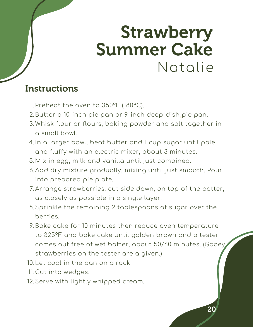### Strawberry Summer Cake Natalie

- 1.Preheat the oven to 350°F (180°C).
- 2.Butter a 10-inch pie pan or 9-inch deep-dish pie pan.
- Whisk flour or flours, baking powder and salt together in 3. a small bowl.
- 4.In a larger bowl, beat butter and 1 cup sugar until pale and fluffy with an electric mixer, about 3 minutes.
- Mix in egg, milk and vanilla until just combined. 5.
- Add dry mixture gradually, mixing until just smooth. Pour 6. into prepared pie plate.
- Arrange strawberries, cut side down, on top of the batter, 7. as closely as possible in a single layer.
- Sprinkle the remaining 2 tablespoons of sugar over the 8. berries.
- Bake cake for 10 minutes then reduce oven temperature 9. to 325°F and bake cake until golden brown and a tester comes out free of wet batter, about 50/60 minutes. (Gooey strawberries on the tester are a given.)
- 10.Let cool in the pan on a rack.
- 11.Cut into wedges.
- 12.Serve with lightly whipped cream.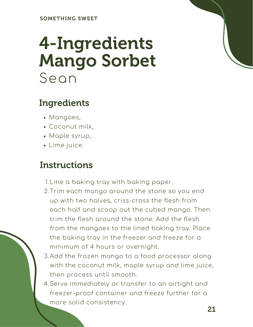### 4-Ingredients Mango Sorbet Sean

### Ingredients

- Mangoes,
- Coconut milk,
- Maple syrup,
- Lime juice.

- 1.Line a baking tray with baking paper.
- 2.Trim each mango around the stone so you end up with two halves, criss-cross the flesh from each half and scoop out the cubed mango. Then trim the flesh around the stone. Add the flesh from the mangoes to the lined baking tray. Place the baking tray in the freezer and freeze for a minimum of 4 hours or overnight.
- Add the frozen mango to a food processor along 3. with the coconut milk, maple syrup and lime juice, then process until smooth.
- Serve immediately or transfer to an airtight and 4.freezer-proof container and freeze further for a more solid consistency.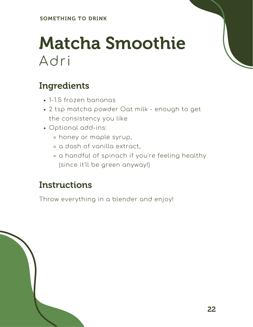### Matcha Smoothie Adri

### Ingredients

- 1-1.5 frozen bananas
- 2 tsp matcha powder Oat milk enough to get the consistency you like
- Optional add-ins:
	- honey or maple syrup,
	- a dash of vanilla extract,
	- a handful of spinach if you're feeling healthy (since it'll be green anyway!)

#### **Instructions**

Throw everything in a blender and enjoy!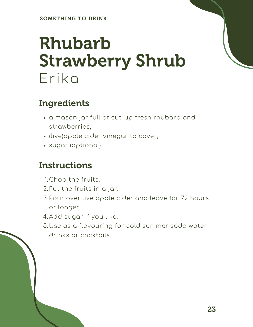### Rhubarb Strawberry Shrub Erika

### Ingredients

- a mason jar full of cut-up fresh rhubarb and strawberries,
- (live)apple cider vinegar to cover,
- sugar (optional).

- 1. Chop the fruits.
- 2.Put the fruits in a jar.
- 3.Pour over live apple cider and leave for 72 hours or longer.
- 4.Add sugar if you like.
- Use as a flavouring for cold summer soda water 5. drinks or cocktails.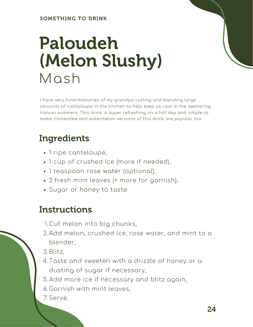### Paloudeh (Melon Slushy) Mash

I have very fond memories of my grandpa cutting and blending large amounts of cantaloupe in the kitchen to help keep us cool in the sweltering Iranian summers. This drink is super refreshing on a hot day and simple to make. Honeydew and watermelon versions of this drink are popular too.

### Ingredients

- 1 ripe canteloupe,
- 1 cup of crushed Ice (more if needed),
- 1 teaspoon rose water (optional),
- 2 fresh mint leaves (+ more for garnish),
- Sugar or honey to taste

#### **Instructions**

- Cut melon into big chunks, 1.
- Add melon, crushed ice, rose water, and mint to a 2. blender,
- Blitz, 3.
- Taste and sweeten with a drizzle of honey or a 4. dusting of sugar if necessary,

Add more ice if necessary and blitz again, 5.

- Garnish with mint leaves, 6.
- 7.Serve.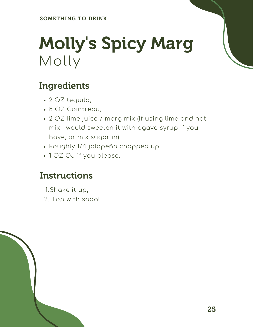## Molly's Spicy Marg Molly

### Ingredients

- 2 OZ tequila,
- 5 OZ Cointreau,
- 2 OZ lime juice / marg mix (If using lime and not mix I would sweeten it with agave syrup if you have, or mix sugar in),
- Roughly 1/4 jalapeño chopped up,
- 1 OZ OJ if you please.

- 1.Shake it up,
- 2. Top with soda!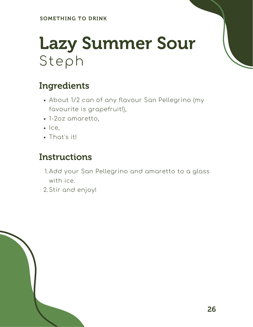## Lazy Summer Sour Steph

### Ingredients

- About 1/2 can of any flavour San Pellegrino (my favourite is grapefruit!),
- 1-2oz amaretto,
- $\cdot$  Ice,
- That's it!

- 1.Add your San Pellegrino and amaretto to a glass with ice.
- 2.Stir and enjoy!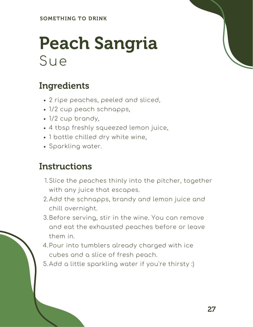### Peach Sangria Sue

### Ingredients

- 2 ripe peaches, peeled and sliced,
- 1/2 cup peach schnapps,
- 1/2 cup brandy,
- 4 tbsp freshly squeezed lemon juice,
- 1 bottle chilled dry white wine,
- Sparkling water.

- 1.Slice the peaches thinly into the pitcher, together with any juice that escapes.
- Add the schnapps, brandy and lemon juice and 2. chill overnight.
- Before serving, stir in the wine. You can remove 3. and eat the exhausted peaches before or leave them in.
- Pour into tumblers already charged with ice 4. cubes and a slice of fresh peach.
- Add a little sparkling water if you're thirsty :) 5.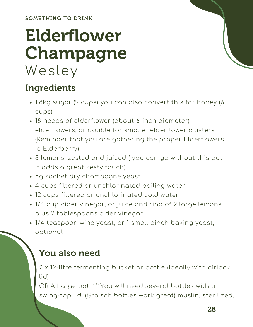SOMETHING TO DRINK

### Elderflower Champagne Wesley

### Ingredients

- 1.8kg sugar (9 cups) you can also convert this for honey (6 cups)
- 18 heads of elderflower (about 6-inch diameter) elderflowers, or double for smaller elderflower clusters (Reminder that you are gathering the proper Elderflowers. ie Elderberry)
- 8 lemons, zested and juiced ( you can go without this but it adds a great zesty touch)
- 5g sachet dry champagne yeast
- 4 cups filtered or unchlorinated boiling water
- 12 cups filtered or unchlorinated cold water
- 1/4 cup cider vinegar, or juice and rind of 2 large lemons plus 2 tablespoons cider vinegar
- 1/4 teaspoon wine yeast, or 1 small pinch baking yeast, optional

### You also need

2 x 12-litre fermenting bucket or bottle (ideally with airlock lid)

OR A Large pot. \*\*\*You will need several bottles with a swing-top lid. (Grolsch bottles work great) muslin, sterilized.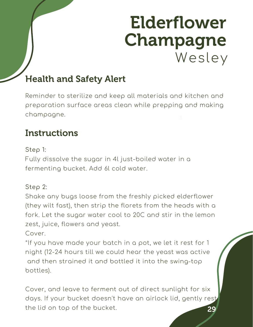### Elderflower Champagne Wesley

### Health and Safety Alert

Reminder to sterilize and keep all materials and kitchen and preparation surface areas clean while prepping and making champagne.

#### **Instructions**

Step 1:

Fully dissolve the sugar in 4l just-boiled water in a fermenting bucket. Add 6l cold water.

#### Step 2:

Shake any bugs loose from the freshly picked elderflower (they wilt fast), then strip the florets from the heads with a fork. Let the sugar water cool to 20C and stir in the lemon zest, juice, flowers and yeast.

Cover.

\*If you have made your batch in a pot, we let it rest for 1 night (12-24 hours till we could hear the yeast was active and then strained it and bottled it into the swing-top bottles).

29 Cover, and leave to ferment out of direct sunlight for six days. If your bucket doesn't have an airlock lid, gently rest the lid on top of the bucket.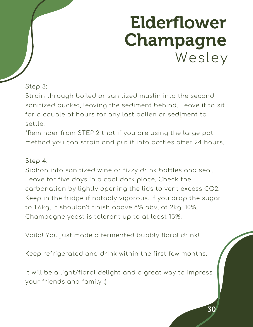### Elderflower Champagne Wesley

#### Step 3:

for a couple of hours for any last pollen or sediment to Strain through boiled or sanitized muslin into the second sanitized bucket, leaving the sediment behind. Leave it to sit settle.

\*Reminder from STEP 2 that if you are using the large pot method you can strain and put it into bottles after 24 hours.

#### Step 4:

Siphon into sanitized wine or fizzy drink bottles and seal. Leave for five days in a cool dark place. Check the carbonation by lightly opening the lids to vent excess CO2. Keep in the fridge if notably vigorous. If you drop the sugar to 1.6kg, it shouldn't finish above 8% abv, at 2kg, 10%. Champagne yeast is tolerant up to at least 15%.

Voila! You just made a fermented bubbly floral drink!

Keep refrigerated and drink within the first few months.

It will be a light/floral delight and a great way to impress your friends and family :)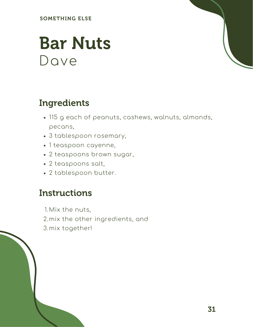SOMETHING ELSE

### Bar Nuts Dave

#### Ingredients

- 115 g each of peanuts, cashews, walnuts, almonds, pecans,
- 3 tablespoon rosemary,
- 1 teaspoon cayenne,
- 2 teaspoons brown sugar,
- 2 teaspoons salt,
- 2 tablespoon butter.

#### **Instructions**

Mix the nuts, 1. 2.mix the other ingredients, and mix together! 3.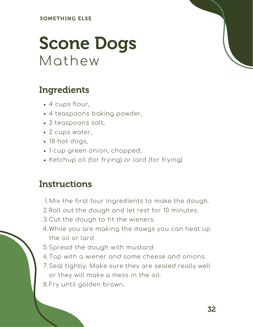### Scone Dogs Mathew

#### Ingredients

- 4 cups flour,
- 4 teaspoons baking powder,
- 2 teaspoons salt,
- 2 cups water,
- 18 hot dogs,
- 1 cup green onion, chopped,
- Ketchup oil (for frying) or lard (for frying)

- Mix the first four ingredients to make the dough. 1.
- 2.Roll out the dough and let rest for 10 minutes.
- 3.Cut the dough to fit the wieners.
- While you are making the dawgs you can heat up 4. the oil or lard.
- 5.Spread the dough with mustard.
- Top with a wiener and some cheese and onions. 6.
- Seal tightly. Make sure they are sealed really well 7. or they will make a mess in the oil.
- 8.Fry until golden brown.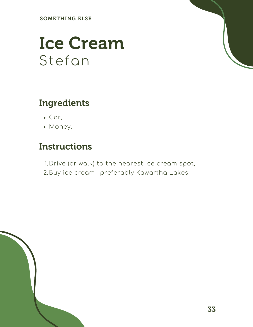SOMETHING ELSE

### Ice Cream Stefan

#### Ingredients

- Car,
- Money.

### **Instructions**

1.Drive (or walk) to the nearest ice cream spot, 2.Buy ice cream--preferably Kawartha Lakes!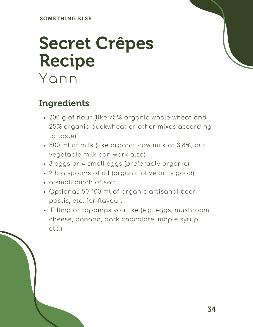### Secret Crêpes Recipe Yann

#### Ingredients

- 200 g of flour (like 75% organic whole wheat and 25% organic buckwheat or other mixes according to taste)
- 500 ml of milk (like organic cow milk at 3,8%, but vegetable milk can work also)
- 3 eggs or 4 small eggs (preferably organic)
- 2 big spoons of oil (organic olive oil is good)
- a small pinch of salt
- Optional: 50-100 ml of organic artisanal beer, pastis, etc. for flavour.
- Filling or toppings you like (e.g. eggs, mushroom, cheese, banana, dark chocolate, maple syrup, etc.).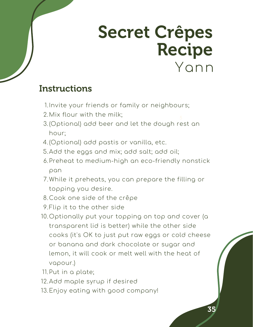### Secret Crêpes Recipe Yann

- 1.Invite your friends or family or neighbours;
- Mix flour with the milk; 2.
- (Optional) add beer and let the dough rest an 3. hour;
- (Optional) add pastis or vanilla, etc. 4.
- 5.Add the eggs and mix; add salt; add oil;
- 6.Preheat to medium-high an eco-friendly nonstick pan
- While it preheats, you can prepare the filling or 7. topping you desire.
- 8.Cook one side of the crêpe
- 9.Flip it to the other side-
- 10.Optionally put your topping on top and cover (a transparent lid is better) while the other side cooks (it's OK to just put raw eggs or cold cheese or banana and dark chocolate or sugar and lemon, it will cook or melt well with the heat of vapour.)
- 11.Put in a plate;
- 12.Add maple syrup if desired
- 13.Enjoy eating with good company!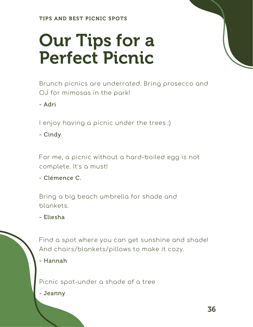# Our Tips for a Perfect Picnic

Brunch picnics are underrated. Bring prosecco and OJ for mimosas in the park!

- Adri

I enjoy having a picnic under the trees :)

- Cindy

For me, a picnic without a hard-boiled egg is not complete. It's a must!

- Clémence C.

Bring a big beach umbrella for shade and blankets.

- Eliesha



Find a spot where you can get sunshine and shade! And chairs/blankets/pillows to make it cozy.

- Hannah

Picnic spot-under a shade of a tree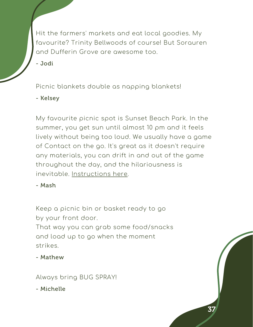Hit the farmers' markets and eat local goodies. My favourite? Trinity Bellwoods of course! But Sorauren and Dufferin Grove are awesome too.

- Jodi

Picnic blankets double as napping blankets!

- Kelsey

5 My favourite picnic spot is Sunset Beach Park. In the summer, you get sun until almost 10 pm and it feels lively without being too loud. We usually have a game of Contact on the go. It's great as it doesn't require any materials, you can drift in and out of the game throughout the day, and the hilariousness is inevitable. [Instructions](https://campfirehacker.com/contact-game/) here.

- Mash

Keep a picnic bin or basket ready to go by your front door. That way you can grab some food/snacks and load up to go when the moment strikes.

- Mathew

Always bring BUG SPRAY!

- Michelle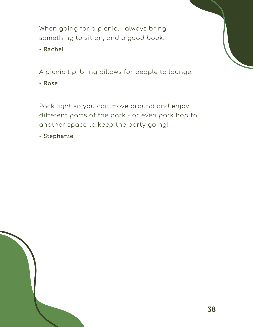When going for a picnic, I always bring something to sit on, and a good book.

- Rachel

A picnic tip: bring pillows for people to lounge.

- Rose

Pack light so you can move around and enjoy different parts of the park - or even park hop to another space to keep the party going!

- Stephanie